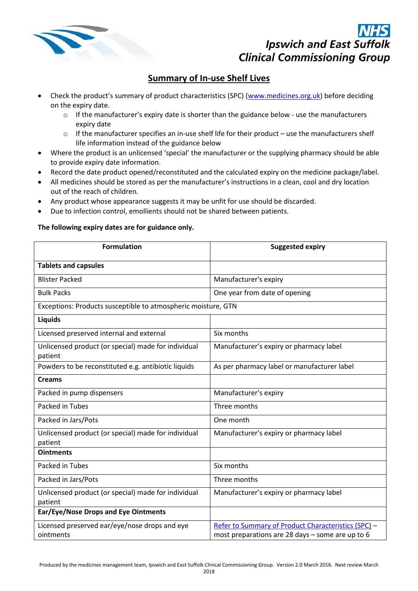

## **Ipswich and East Suffolk Clinical Commissioning Group**

## **Summary of In-use Shelf Lives**

- Check the product's summary of product characteristics (SPC) ([www.medicines.org.uk\)](file:///C:/Users/Catherine.Butler/AppData/Local/Microsoft/Windows/Temporary%20Internet%20Files/Content.Outlook/RZBXL3IH/www.medicines.org.uk) before deciding on the expiry date.
	- $\circ$  If the manufacturer's expiry date is shorter than the guidance below use the manufacturers expiry date
	- o If the manufacturer specifies an in-use shelf life for their product use the manufacturers shelf life information instead of the guidance below
- Where the product is an unlicensed 'special' the manufacturer or the supplying pharmacy should be able to provide expiry date information.
- Record the date product opened/reconstituted and the calculated expiry on the medicine package/label.
- All medicines should be stored as per the manufacturer's instructions in a clean, cool and dry location out of the reach of children.
- Any product whose appearance suggests it may be unfit for use should be discarded.
- Due to infection control, emollients should not be shared between patients.

## **The following expiry dates are for guidance only.**

| <b>Formulation</b>                                             | <b>Suggested expiry</b>                                                                                 |
|----------------------------------------------------------------|---------------------------------------------------------------------------------------------------------|
| <b>Tablets and capsules</b>                                    |                                                                                                         |
| <b>Blister Packed</b>                                          | Manufacturer's expiry                                                                                   |
| <b>Bulk Packs</b>                                              | One year from date of opening                                                                           |
| Exceptions: Products susceptible to atmospheric moisture, GTN  |                                                                                                         |
| Liquids                                                        |                                                                                                         |
| Licensed preserved internal and external                       | Six months                                                                                              |
| Unlicensed product (or special) made for individual<br>patient | Manufacturer's expiry or pharmacy label                                                                 |
| Powders to be reconstituted e.g. antibiotic liquids            | As per pharmacy label or manufacturer label                                                             |
| <b>Creams</b>                                                  |                                                                                                         |
| Packed in pump dispensers                                      | Manufacturer's expiry                                                                                   |
| Packed in Tubes                                                | Three months                                                                                            |
| Packed in Jars/Pots                                            | One month                                                                                               |
| Unlicensed product (or special) made for individual<br>patient | Manufacturer's expiry or pharmacy label                                                                 |
| <b>Ointments</b>                                               |                                                                                                         |
| Packed in Tubes                                                | Six months                                                                                              |
| Packed in Jars/Pots                                            | Three months                                                                                            |
| Unlicensed product (or special) made for individual<br>patient | Manufacturer's expiry or pharmacy label                                                                 |
| Ear/Eye/Nose Drops and Eye Ointments                           |                                                                                                         |
| Licensed preserved ear/eye/nose drops and eye<br>ointments     | Refer to Summary of Product Characteristics (SPC) -<br>most preparations are 28 days - some are up to 6 |